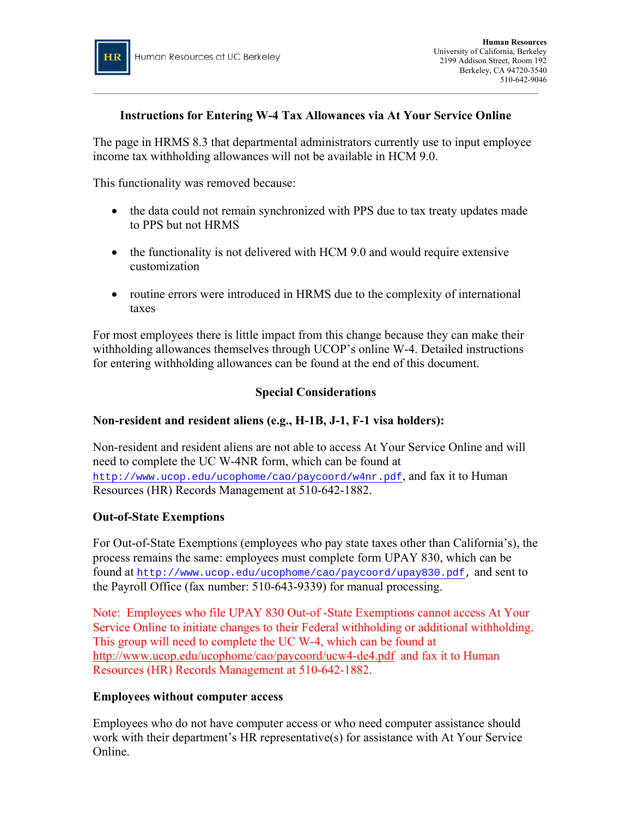

# **Instructions for Entering W-4 Tax Allowances via At Your Service Online**

\_\_\_\_\_\_\_\_\_\_\_\_\_\_\_\_\_\_\_\_\_\_\_\_\_\_\_\_\_\_\_\_\_\_\_\_\_\_\_\_\_\_\_\_\_\_\_\_\_\_\_\_\_\_\_\_\_\_\_\_\_\_\_\_\_\_\_\_\_\_\_\_\_\_\_\_\_\_\_\_\_\_\_\_\_\_\_\_\_\_\_\_\_\_\_\_\_\_\_\_\_\_\_\_\_\_\_\_

The page in HRMS 8.3 that departmental administrators currently use to input employee income tax withholding allowances will not be available in HCM 9.0.

This functionality was removed because:

- the data could not remain synchronized with PPS due to tax treaty updates made to PPS but not HRMS
- the functionality is not delivered with HCM 9.0 and would require extensive customization
- routine errors were introduced in HRMS due to the complexity of international taxes

For most employees there is little impact from this change because they can make their withholding allowances themselves through UCOP's online W-4. Detailed instructions for entering withholding allowances can be found at the end of this document.

# **Special Considerations**

## **Non-resident and resident aliens (e.g., H-1B, J-1, F-1 visa holders):**

Non-resident and resident aliens are not able to access At Your Service Online and will need to complete the UC W-4NR form, which can be found at <http://www.ucop.edu/ucophome/cao/paycoord/w4nr.pdf>, and fax it to Human Resources (HR) Records Management at 510-642-1882.

## **Out-of-State Exemptions**

For Out-of-State Exemptions (employees who pay state taxes other than California's), the process remains the same: employees must complete form UPAY 830, which can be found at [http://www.ucop.edu/ucophome/cao/paycoord/upay830.pdf,](http://www.ucop.edu/ucophome/cao/paycoord/upay830.pdf) and sent to the Payroll Office (fax number: 510-643-9339) for manual processing.

Note: Employees who file UPAY 830 Out-of -State Exemptions cannot access At Your Service Online to initiate changes to their Federal withholding or additional withholding. This group will need to complete the UC W-4, which can be found at <http://www.ucop.edu/ucophome/cao/paycoord/ucw4-de4.pdf> and fax it to Human Resources (HR) Records Management at 510-642-1882.

## **Employees without computer access**

Employees who do not have computer access or who need computer assistance should work with their department's HR representative(s) for assistance with At Your Service Online.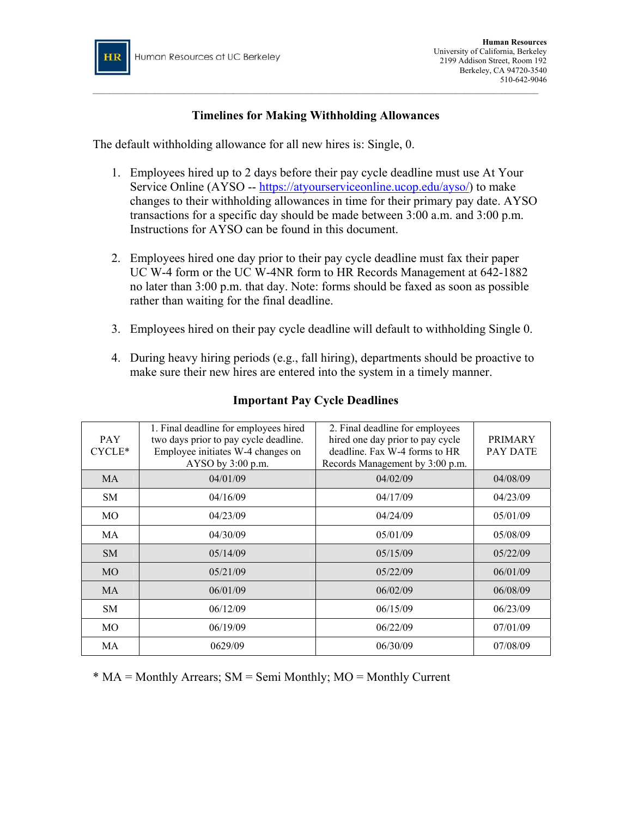

# **Timelines for Making Withholding Allowances**

 $\_$  , and the set of the set of the set of the set of the set of the set of the set of the set of the set of the set of the set of the set of the set of the set of the set of the set of the set of the set of the set of th

The default withholding allowance for all new hires is: Single, 0.

- 1. Employees hired up to 2 days before their pay cycle deadline must use At Your Service Online (AYSO -- [https://atyourserviceonline.ucop.edu/ayso/\)](https://atyourserviceonline.ucop.edu/ayso/) to make changes to their withholding allowances in time for their primary pay date. AYSO transactions for a specific day should be made between 3:00 a.m. and 3:00 p.m. Instructions for AYSO can be found in this document.
- 2. Employees hired one day prior to their pay cycle deadline must fax their paper UC W-4 form or the UC W-4NR form to HR Records Management at 642-1882 no later than 3:00 p.m. that day. Note: forms should be faxed as soon as possible rather than waiting for the final deadline.
- 3. Employees hired on their pay cycle deadline will default to withholding Single 0.
- 4. During heavy hiring periods (e.g., fall hiring), departments should be proactive to make sure their new hires are entered into the system in a timely manner.

| <b>PAY</b><br>CYCLE* | 1. Final deadline for employees hired<br>two days prior to pay cycle deadline.<br>Employee initiates W-4 changes on<br>AYSO by $3:00$ p.m. | 2. Final deadline for employees<br>hired one day prior to pay cycle<br>deadline. Fax W-4 forms to HR<br>Records Management by 3:00 p.m. | <b>PRIMARY</b><br>PAY DATE |
|----------------------|--------------------------------------------------------------------------------------------------------------------------------------------|-----------------------------------------------------------------------------------------------------------------------------------------|----------------------------|
| MA                   | 04/01/09                                                                                                                                   | 04/02/09                                                                                                                                | 04/08/09                   |
| <b>SM</b>            | 04/16/09                                                                                                                                   | 04/17/09                                                                                                                                | 04/23/09                   |
| MO                   | 04/23/09                                                                                                                                   | 04/24/09                                                                                                                                | 05/01/09                   |
| MA                   | 04/30/09                                                                                                                                   | 05/01/09                                                                                                                                | 05/08/09                   |
| <b>SM</b>            | 05/14/09                                                                                                                                   | 05/15/09                                                                                                                                | 05/22/09                   |
| MO <sub>1</sub>      | 05/21/09                                                                                                                                   | 05/22/09                                                                                                                                | 06/01/09                   |
| <b>MA</b>            | 06/01/09                                                                                                                                   | 06/02/09                                                                                                                                | 06/08/09                   |
| SM.                  | 06/12/09                                                                                                                                   | 06/15/09                                                                                                                                | 06/23/09                   |
| MO                   | 06/19/09                                                                                                                                   | 06/22/09                                                                                                                                | 07/01/09                   |
| МA                   | 0629/09                                                                                                                                    | 06/30/09                                                                                                                                | 07/08/09                   |

# **Important Pay Cycle Deadlines**

\* MA = Monthly Arrears; SM = Semi Monthly; MO = Monthly Current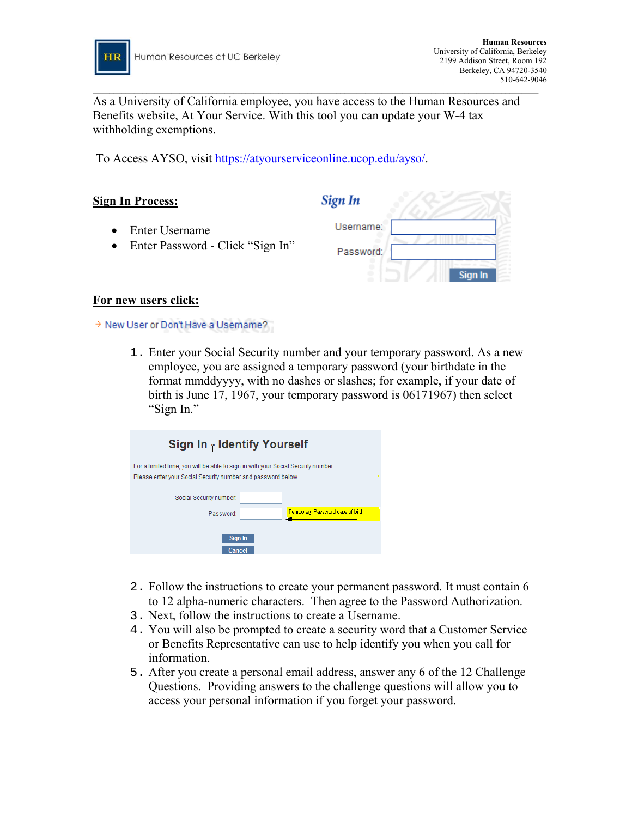

As a University of California employee, you have access to the Human Resources and Benefits website, At Your Service. With this tool you can update your W-4 tax withholding exemptions.

 $\_$  , and the set of the set of the set of the set of the set of the set of the set of the set of the set of the set of the set of the set of the set of the set of the set of the set of the set of the set of the set of th

To Access AYSO, visit <https://atyourserviceonline.ucop.edu/ayso/>.

# Sign In **Sign In Process:** Username: • Enter Username • Enter Password - Click "Sign In" Password: Sian In

## **For new users click:**

> New User or Don't Have a Username?

1. Enter your Social Security number and your temporary password. As a new employee, you are assigned a temporary password (your birthdate in the format mmddyyyy, with no dashes or slashes; for example, if your date of birth is June 17, 1967, your temporary password is 06171967) then select "Sign In."

| Sign In $_1$ Identify Yourself                                                                                                                    |  |  |  |  |
|---------------------------------------------------------------------------------------------------------------------------------------------------|--|--|--|--|
| For a limited time, you will be able to sign in with your Social Security number.<br>Please enter your Social Security number and password below. |  |  |  |  |
| Social Security number:                                                                                                                           |  |  |  |  |
| Temporary Password date of birth<br>Password:                                                                                                     |  |  |  |  |
| Sign In<br>Cancel                                                                                                                                 |  |  |  |  |

- 2. Follow the instructions to create your permanent password. It must contain 6 to 12 alpha-numeric characters. Then agree to the Password Authorization.
- 3. Next, follow the instructions to create a Username.
- 4. You will also be prompted to create a security word that a Customer Service or Benefits Representative can use to help identify you when you call for information.
- 5. After you create a personal email address, answer any 6 of the 12 Challenge Questions. Providing answers to the challenge questions will allow you to access your personal information if you forget your password.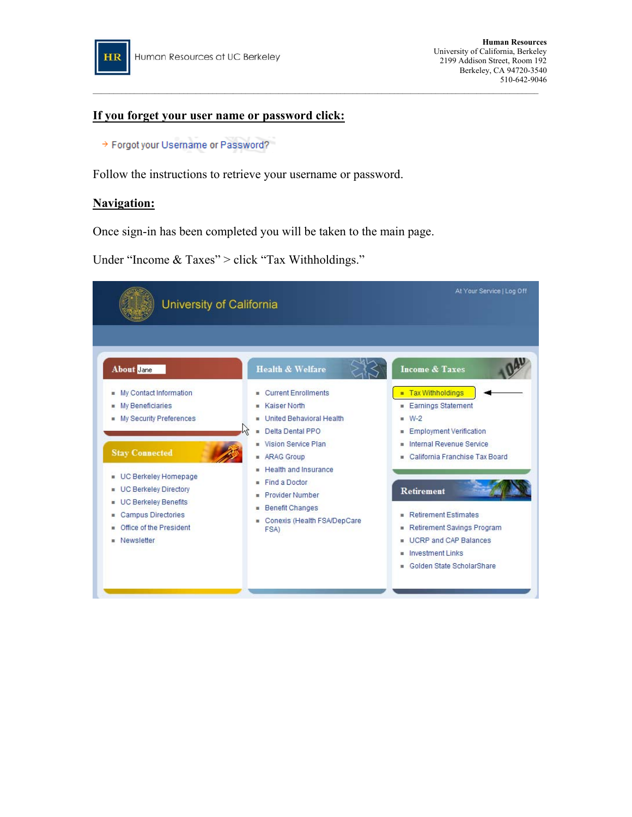

### **If you forget your user name or password click:**

→ Forgot your Username or Password?

Follow the instructions to retrieve your username or password.

#### **Navigation:**

Once sign-in has been completed you will be taken to the main page.

Under "Income & Taxes" > click "Tax Withholdings."



 $\_$  , and the set of the set of the set of the set of the set of the set of the set of the set of the set of the set of the set of the set of the set of the set of the set of the set of the set of the set of the set of th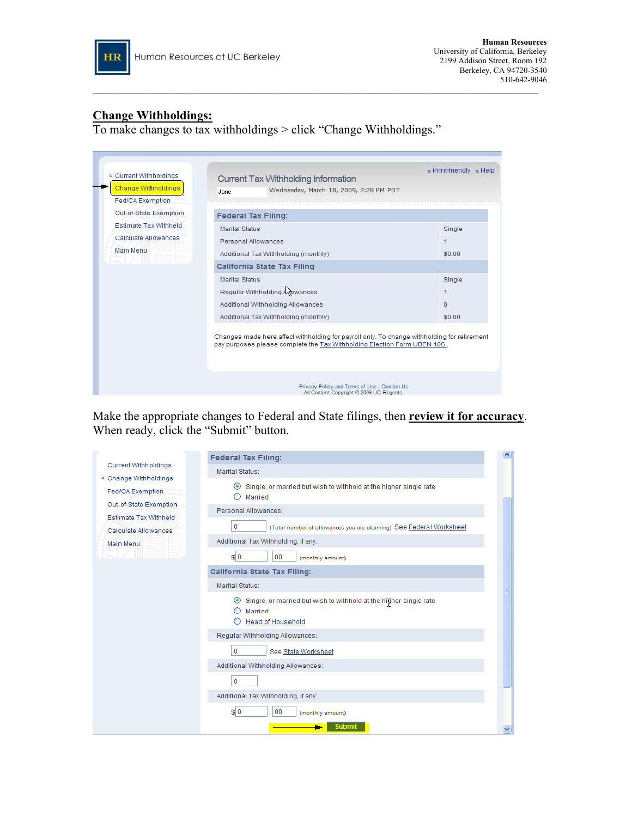

### **Change Withholdings:**

To make changes to tax withholdings > click "Change Withholdings."

| Out-of-State Exemption                                                   | <b>Federal Tax Filing:</b>                                                                                                                                              |                                                      |  |
|--------------------------------------------------------------------------|-------------------------------------------------------------------------------------------------------------------------------------------------------------------------|------------------------------------------------------|--|
| <b>Estimate Tax Withheld</b><br>Calculate Allowances<br><b>Main Menu</b> | <b>Marital Status</b><br>Personal Allowances<br>Additional Tax Withholding (monthly)                                                                                    | Single<br>$\mathbf{1}$<br>\$0.00                     |  |
|                                                                          | <b>California State Tax Filing</b>                                                                                                                                      |                                                      |  |
|                                                                          | <b>Marital Status</b><br>Regular Withholding Agowances<br>Additional Withholding Allowances<br>Additional Tax Withholding (monthly)                                     | Single<br>$\blacktriangleleft$<br>$\Omega$<br>\$0.00 |  |
|                                                                          | Changes made here affect withholding for payroll only. To change withholding for retirement<br>pay purposes please complete the Tax Withholding Election Form UBEN 106. |                                                      |  |

 $\_$  , and the set of the set of the set of the set of the set of the set of the set of the set of the set of the set of the set of the set of the set of the set of the set of the set of the set of the set of the set of th

Make the appropriate changes to Federal and State filings, then **review it for accuracy**. When ready, click the "Submit" button.

|                                                        | <b>Federal Tax Filing:</b>                                                                                                                         |  |
|--------------------------------------------------------|----------------------------------------------------------------------------------------------------------------------------------------------------|--|
| <b>Current Withholdings</b><br>» Change Withholdings   | Marital Status:                                                                                                                                    |  |
| <b>Fed/CA Exemption</b>                                | Single, or married but wish to withhold at the higher single rate<br>$\odot$<br>Married<br>$\scriptstyle\left(\begin{array}{c} \end{array}\right)$ |  |
| Out-of-State Exemption<br><b>Estimate Tax Withheld</b> | Personal Allowances:                                                                                                                               |  |
| <b>Calculate Allowances</b>                            | 0<br>(Total number of allowances you are claiming) See Federal Worksheet                                                                           |  |
| <b>Main Menu</b>                                       | Additional Tax Withholding, if any:                                                                                                                |  |
|                                                        | S <sub>0</sub><br>00<br>(monthly amount)                                                                                                           |  |
|                                                        | <b>California State Tax Filing:</b>                                                                                                                |  |
|                                                        | Marital Status:                                                                                                                                    |  |
|                                                        | Single, or married but wish to withhold at the higher single rate<br>$\bullet$<br>Married<br>◯<br><b>Head of Household</b><br>O                    |  |
|                                                        | Regular Withholding Allowances:                                                                                                                    |  |
|                                                        | 0<br>See State Worksheet                                                                                                                           |  |
|                                                        | Additional Withholding Allowances:                                                                                                                 |  |
|                                                        | 0                                                                                                                                                  |  |
|                                                        | Additional Tax Withholding, if any:                                                                                                                |  |
|                                                        | S <sub>0</sub><br>00<br>(monthly amount)                                                                                                           |  |
|                                                        | <b>Submit</b>                                                                                                                                      |  |